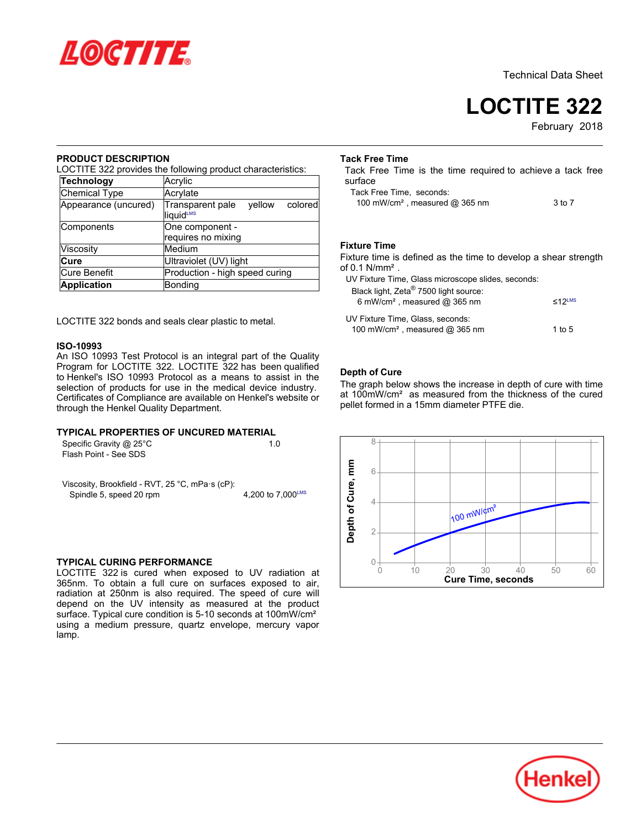

Technical Data Sheet

**LOCTITE 322**

February 2018

## **PRODUCT DESCRIPTION**

LOCTITE 322 provides the following product characteristics:

| Technology           | Acrylic                                            |  |  |  |  |
|----------------------|----------------------------------------------------|--|--|--|--|
| Chemical Type        | Acrylate                                           |  |  |  |  |
| Appearance (uncured) | Transparent pale<br>vellow<br>colored<br>liquidLMS |  |  |  |  |
| Components           | One component -<br>requires no mixing              |  |  |  |  |
| Viscosity            | Medium                                             |  |  |  |  |
| Cure                 | Ultraviolet (UV) light                             |  |  |  |  |
| <b>Cure Benefit</b>  | Production - high speed curing                     |  |  |  |  |
| <b>Application</b>   | <b>Bonding</b>                                     |  |  |  |  |

LOCTITE 322 bonds and seals clear plastic to metal.

#### **ISO-10993**

An ISO 10993 Test Protocol is an integral part of the Quality Program for LOCTITE 322. LOCTITE 322 has been qualified to Henkel's ISO 10993 Protocol as a means to assist in the selection of products for use in the medical device industry. Certificates of Compliance are available on Henkel's website or through the Henkel Quality Department.

## **TYPICAL PROPERTIES OF UNCURED MATERIAL**

Specific Gravity @ 25°C 1.0 Flash Point - See SDS

Viscosity, Brookfield - RVT, 25 °C, mPa·s (cP): Spindle 5, speed 20 rpm  $\frac{200 \text{ m/s}}{1.000 \text{ m/s}}$  4.200 to 7.000<sup>LMS</sup>

### **TYPICAL CURING PERFORMANCE**

LOCTITE 322 is cured when exposed to UV radiation at 365nm. To obtain a full cure on surfaces exposed to air, radiation at 250nm is also required. The speed of cure will depend on the UV intensity as measured at the product surface. Typical cure condition is 5-10 seconds at 100mW/cm<sup>2</sup> using a medium pressure, quartz envelope, mercury vapor uənıy<br>lamp.

#### **Tack Free Time**

Tack Free Time is the time required to achieve a tack free surface

Tack Free Time, seconds: 100 mW/cm²,

| 100 mW/cm <sup>2</sup> , measured $@365$ nm | 3 to 7 |
|---------------------------------------------|--------|

## **Fixture Time**

Fixture time is defined as the time to develop a shear strength of 0.1 N/mm<sup>2</sup>.

UV Fixture Time, Glass microscope slides, seconds:

| Black light, Zeta <sup>®</sup> 7500 light source:<br>6 mW/cm <sup>2</sup> , measured $@$ 365 nm | $<$ 12LMS |
|-------------------------------------------------------------------------------------------------|-----------|
| UV Fixture Time. Glass. seconds:                                                                |           |
| 100 mW/cm <sup>2</sup> , measured $@$ 365 nm                                                    | 1 to 5    |

## **Depth of Cure**

The graph below shows the increase in depth of cure with time at 100mW/cm² as measured from the thickness of the cured pellet formed in a 15mm diameter PTFE die.



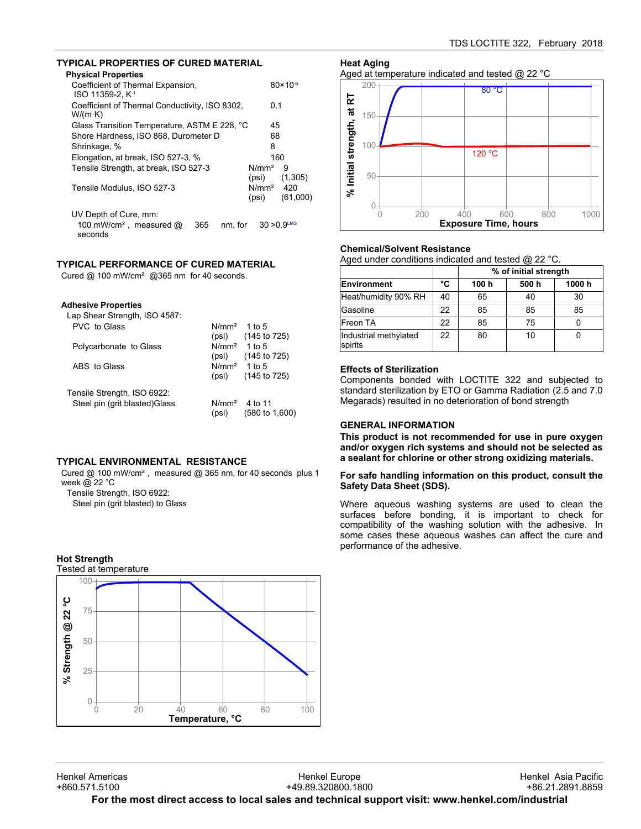## **TYPICAL PROPERTIES OF CURED MATERIAL**

| <b>Physical Properties</b>                                                                |                                |                     |
|-------------------------------------------------------------------------------------------|--------------------------------|---------------------|
| Coefficient of Thermal Expansion,<br>ISO 11359-2. K <sup>-1</sup>                         |                                | $80 \times 10^{-6}$ |
| Coefficient of Thermal Conductivity, ISO 8302,<br>$W/(m \cdot K)$                         | 0.1                            |                     |
| Glass Transition Temperature, ASTM E 228, °C                                              | 45                             |                     |
| Shore Hardness, ISO 868, Durometer D                                                      | 68                             |                     |
| Shrinkage, %                                                                              | 8                              |                     |
| Elongation, at break, ISO 527-3, %                                                        | 160                            |                     |
| Tensile Strength, at break, ISO 527-3                                                     | N/mm <sup>2</sup><br>(psi)     | 9<br>(1,305)        |
| Tensile Modulus, ISO 527-3                                                                | N/mm <sup>2</sup> 420<br>(psi) | (61,000)            |
| UV Depth of Cure, mm:<br>100 mW/cm <sup>2</sup> , measured @<br>365<br>nm. for<br>seconds | $30 > 0.9$ <sup>LMS</sup>      |                     |

# **TYPICAL PERFORMANCE OF CURED MATERIAL**

Cured  $\omega$  100 mW/cm<sup>2</sup>  $\omega$ 365 nm for 40 seconds.

| Lap Shear Strength, ISO 4587: |                   |                           |
|-------------------------------|-------------------|---------------------------|
| PVC to Glass                  | N/mm <sup>2</sup> | 1 to $5$                  |
|                               | (psi)             | (145 to 725)              |
| Polycarbonate to Glass        | $N/mm2$ 1 to 5    |                           |
|                               | (psi)             | $(145 \text{ to } 725)$   |
| ABS to Glass                  | $N/mm2$ 1 to 5    |                           |
|                               | (psi)             | (145 to 725)              |
| Tensile Strength, ISO 6922:   |                   |                           |
| Steel pin (grit blasted)Glass | N/mm <sup>2</sup> | 4 to 11                   |
|                               | (psi)             | $(580 \text{ to } 1,600)$ |

## **TYPICAL ENVIRONMENTAL RESISTANCE**

Cured @ 100 mW/cm², measured @ 365 nm, for 40 seconds plus 1 week @ 22 °C Tensile Strength, ISO 6922:

Steel pin (grit blasted) to Glass

#### **Hot Strength**







## **Chemical/Solvent Resistance**

Aged under conditions indicated and tested @ 22 °C.

|                                  |    | % of initial strength |       |        |
|----------------------------------|----|-----------------------|-------|--------|
| <b>Environment</b>               | °C | 100 h                 | 500 h | 1000 h |
| Heat/humidity 90% RH             | 40 | 65                    | 40    | 30     |
| Gasoline                         | 22 | 85                    | 85    | 85     |
| Freon TA                         | 22 | 85                    | 75    |        |
| Industrial methylated<br>spirits | 22 | 80                    | 10    |        |

## **Effects of Sterilization**

Components bonded with LOCTITE 322 and subjected to standard sterilization by ETO or Gamma Radiation (2.5 and 7.0 Megarads) resulted in no deterioration of bond strength

## **GENERAL INFORMATION**

**This product is not recommended for use in pure oxygen and/or oxygen rich systems and should not be selected as a sealant for chlorine or other strong oxidizing materials.**

#### **For safe handling information on this product, consult the Safety Data Sheet (SDS).**

Where aqueous washing systems are used to clean the surfaces before bonding, it is important to check for compatibility of the washing solution with the adhesive. In some cases these aqueous washes can affect the cure and performance of the adhesive.